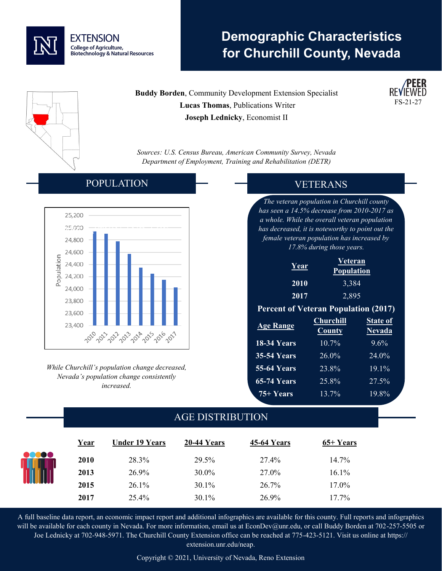

# **Demographic Characteristics for Churchill County, Nevada**

**Buddy Borden**, Community Development Extension Specialist  **Lucas Thomas**, Publications Writer **Joseph Lednicky**, Economist II

*Sources: U.S. Census Bureau, American Community Survey, Nevada Department of Employment, Training and Rehabilitation (DETR)*

#### POPULATION



*While Churchill's population change decreased, Nevada's population change consistently increased.* 

### VETERANS

 $FS-21-2'$ 

*The veteran population in Churchill county has seen a 14.5% decrease from 2010-2017 as a whole. While the overall veteran population has decreased, it is noteworthy to point out the female veteran population has increased by 17.8% during those years.*

| Year | Veteran           |  |  |
|------|-------------------|--|--|
|      | <b>Population</b> |  |  |
| 2010 | 3,384             |  |  |
| 2017 | 2,895             |  |  |

#### **Percent of Veteran Population (2017)**

| <b>Age Range</b>   | <b>Churchill</b><br><b>County</b> | <b>State of</b><br><b>Nevada</b> |
|--------------------|-----------------------------------|----------------------------------|
| 18-34 Years        | 10.7%                             | $9.6\%$                          |
| <b>35-54 Years</b> | 26.0%                             | $24.0\%$                         |
| <b>55-64 Years</b> | 23.8%                             | $19.1\%$                         |
| <b>65-74 Years</b> | 25.8%                             | 27.5%                            |
| 75+ Years          | 13.7%                             | 19.8%                            |

## AGE DISTRIBUTION

|       | Year | <b>Under 19 Years</b> | 20-44 Years | <b>45-64 Years</b> | $65+Years$ |  |
|-------|------|-----------------------|-------------|--------------------|------------|--|
| 00000 | 2010 | 28.3%                 | 29.5%       | 27.4%              | 14.7%      |  |
|       | 2013 | 26.9%                 | 30.0%       | 27.0%              | 16.1%      |  |
|       | 2015 | $26.1\%$              | $30.1\%$    | 26.7%              | 17.0%      |  |
|       | 2017 | 25.4%                 | 30.1%       | 26.9%              | 17.7%      |  |

A full baseline data report, an economic impact report and additional infographics are available for this county. Full reports and infographics will be available for each county in Nevada. For more information, email us at EconDev@unr.edu, or call Buddy Borden at 702-257-5505 or Joe Lednicky at 702-948-5971. The Churchill County Extension office can be reached at 775-423-5121. Visit us online at https:// extension.unr.edu/neap.

Copyright © 2021, University of Nevada, Reno Extension